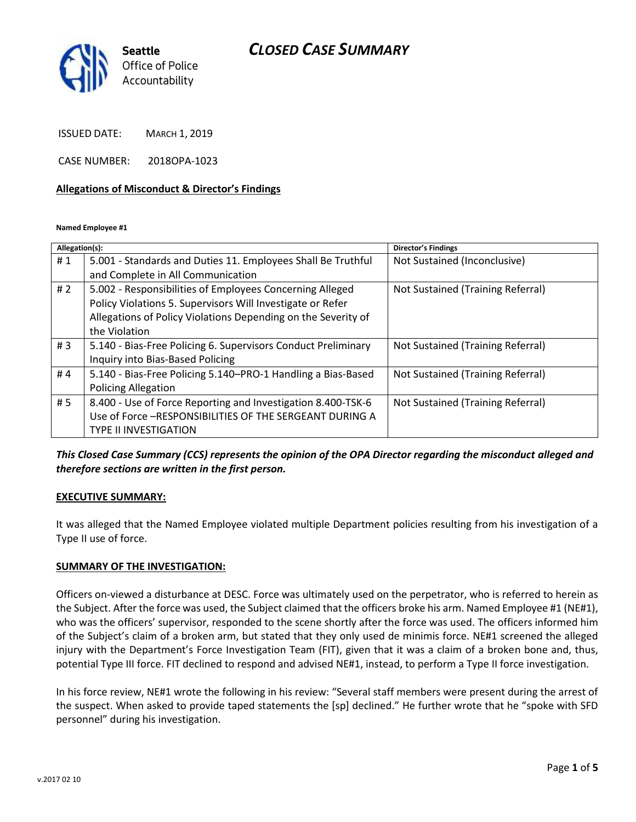# *CLOSED CASE SUMMARY*



ISSUED DATE: MARCH 1, 2019

CASE NUMBER: 2018OPA-1023

#### **Allegations of Misconduct & Director's Findings**

**Named Employee #1**

| Allegation(s): |                                                               | Director's Findings               |
|----------------|---------------------------------------------------------------|-----------------------------------|
| #1             | 5.001 - Standards and Duties 11. Employees Shall Be Truthful  | Not Sustained (Inconclusive)      |
|                | and Complete in All Communication                             |                                   |
| #2             | 5.002 - Responsibilities of Employees Concerning Alleged      | Not Sustained (Training Referral) |
|                | Policy Violations 5. Supervisors Will Investigate or Refer    |                                   |
|                | Allegations of Policy Violations Depending on the Severity of |                                   |
|                | the Violation                                                 |                                   |
| #3             | 5.140 - Bias-Free Policing 6. Supervisors Conduct Preliminary | Not Sustained (Training Referral) |
|                | Inquiry into Bias-Based Policing                              |                                   |
| #4             | 5.140 - Bias-Free Policing 5.140–PRO-1 Handling a Bias-Based  | Not Sustained (Training Referral) |
|                | <b>Policing Allegation</b>                                    |                                   |
| #5             | 8.400 - Use of Force Reporting and Investigation 8.400-TSK-6  | Not Sustained (Training Referral) |
|                | Use of Force -RESPONSIBILITIES OF THE SERGEANT DURING A       |                                   |
|                | <b>TYPE II INVESTIGATION</b>                                  |                                   |
|                |                                                               |                                   |

*This Closed Case Summary (CCS) represents the opinion of the OPA Director regarding the misconduct alleged and therefore sections are written in the first person.* 

#### **EXECUTIVE SUMMARY:**

It was alleged that the Named Employee violated multiple Department policies resulting from his investigation of a Type II use of force.

#### **SUMMARY OF THE INVESTIGATION:**

Officers on-viewed a disturbance at DESC. Force was ultimately used on the perpetrator, who is referred to herein as the Subject. After the force was used, the Subject claimed that the officers broke his arm. Named Employee #1 (NE#1), who was the officers' supervisor, responded to the scene shortly after the force was used. The officers informed him of the Subject's claim of a broken arm, but stated that they only used de minimis force. NE#1 screened the alleged injury with the Department's Force Investigation Team (FIT), given that it was a claim of a broken bone and, thus, potential Type III force. FIT declined to respond and advised NE#1, instead, to perform a Type II force investigation.

In his force review, NE#1 wrote the following in his review: "Several staff members were present during the arrest of the suspect. When asked to provide taped statements the [sp] declined." He further wrote that he "spoke with SFD personnel" during his investigation.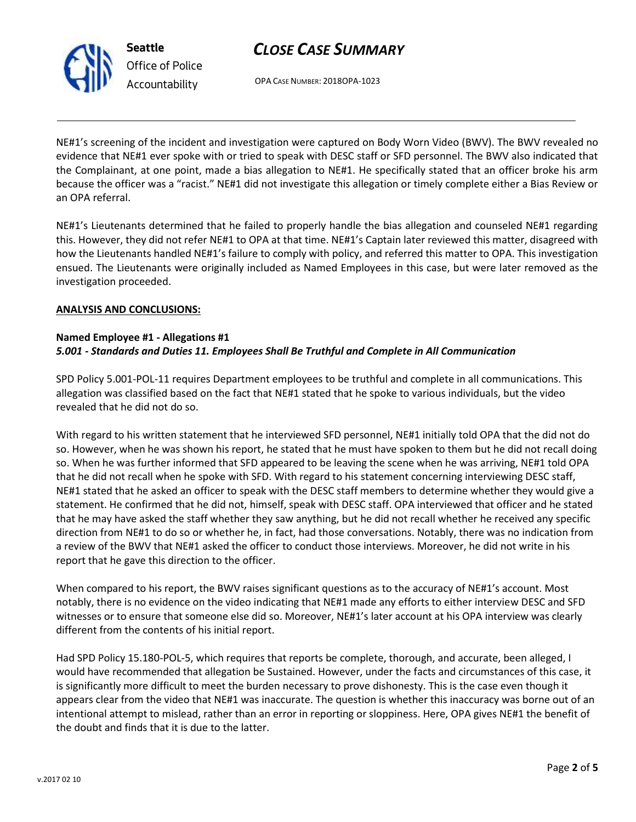# *CLOSE CASE SUMMARY*

OPA CASE NUMBER: 2018OPA-1023

NE#1's screening of the incident and investigation were captured on Body Worn Video (BWV). The BWV revealed no evidence that NE#1 ever spoke with or tried to speak with DESC staff or SFD personnel. The BWV also indicated that the Complainant, at one point, made a bias allegation to NE#1. He specifically stated that an officer broke his arm because the officer was a "racist." NE#1 did not investigate this allegation or timely complete either a Bias Review or an OPA referral.

NE#1's Lieutenants determined that he failed to properly handle the bias allegation and counseled NE#1 regarding this. However, they did not refer NE#1 to OPA at that time. NE#1's Captain later reviewed this matter, disagreed with how the Lieutenants handled NE#1's failure to comply with policy, and referred this matter to OPA. This investigation ensued. The Lieutenants were originally included as Named Employees in this case, but were later removed as the investigation proceeded.

### **ANALYSIS AND CONCLUSIONS:**

### **Named Employee #1 - Allegations #1** *5.001 - Standards and Duties 11. Employees Shall Be Truthful and Complete in All Communication*

SPD Policy 5.001-POL-11 requires Department employees to be truthful and complete in all communications. This allegation was classified based on the fact that NE#1 stated that he spoke to various individuals, but the video revealed that he did not do so.

With regard to his written statement that he interviewed SFD personnel, NE#1 initially told OPA that the did not do so. However, when he was shown his report, he stated that he must have spoken to them but he did not recall doing so. When he was further informed that SFD appeared to be leaving the scene when he was arriving, NE#1 told OPA that he did not recall when he spoke with SFD. With regard to his statement concerning interviewing DESC staff, NE#1 stated that he asked an officer to speak with the DESC staff members to determine whether they would give a statement. He confirmed that he did not, himself, speak with DESC staff. OPA interviewed that officer and he stated that he may have asked the staff whether they saw anything, but he did not recall whether he received any specific direction from NE#1 to do so or whether he, in fact, had those conversations. Notably, there was no indication from a review of the BWV that NE#1 asked the officer to conduct those interviews. Moreover, he did not write in his report that he gave this direction to the officer.

When compared to his report, the BWV raises significant questions as to the accuracy of NE#1's account. Most notably, there is no evidence on the video indicating that NE#1 made any efforts to either interview DESC and SFD witnesses or to ensure that someone else did so. Moreover, NE#1's later account at his OPA interview was clearly different from the contents of his initial report.

Had SPD Policy 15.180-POL-5, which requires that reports be complete, thorough, and accurate, been alleged, I would have recommended that allegation be Sustained. However, under the facts and circumstances of this case, it is significantly more difficult to meet the burden necessary to prove dishonesty. This is the case even though it appears clear from the video that NE#1 was inaccurate. The question is whether this inaccuracy was borne out of an intentional attempt to mislead, rather than an error in reporting or sloppiness. Here, OPA gives NE#1 the benefit of the doubt and finds that it is due to the latter.



**Seattle** *Office of Police Accountability*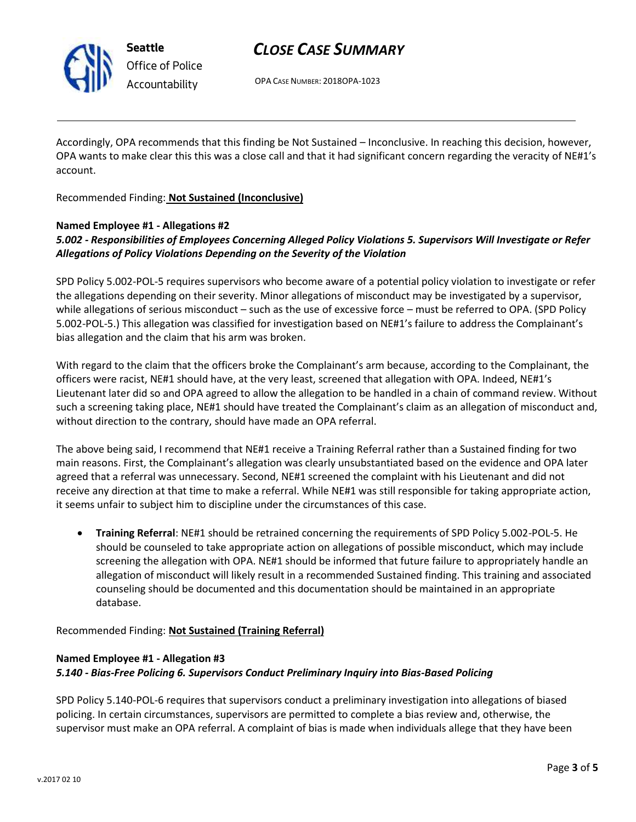

**Seattle** *Office of Police Accountability*

# *CLOSE CASE SUMMARY*

OPA CASE NUMBER: 2018OPA-1023

Accordingly, OPA recommends that this finding be Not Sustained – Inconclusive. In reaching this decision, however, OPA wants to make clear this this was a close call and that it had significant concern regarding the veracity of NE#1's account.

Recommended Finding: **Not Sustained (Inconclusive)**

## **Named Employee #1 - Allegations #2**

# *5.002 - Responsibilities of Employees Concerning Alleged Policy Violations 5. Supervisors Will Investigate or Refer Allegations of Policy Violations Depending on the Severity of the Violation*

SPD Policy 5.002-POL-5 requires supervisors who become aware of a potential policy violation to investigate or refer the allegations depending on their severity. Minor allegations of misconduct may be investigated by a supervisor, while allegations of serious misconduct – such as the use of excessive force – must be referred to OPA. (SPD Policy 5.002-POL-5.) This allegation was classified for investigation based on NE#1's failure to address the Complainant's bias allegation and the claim that his arm was broken.

With regard to the claim that the officers broke the Complainant's arm because, according to the Complainant, the officers were racist, NE#1 should have, at the very least, screened that allegation with OPA. Indeed, NE#1's Lieutenant later did so and OPA agreed to allow the allegation to be handled in a chain of command review. Without such a screening taking place, NE#1 should have treated the Complainant's claim as an allegation of misconduct and, without direction to the contrary, should have made an OPA referral.

The above being said, I recommend that NE#1 receive a Training Referral rather than a Sustained finding for two main reasons. First, the Complainant's allegation was clearly unsubstantiated based on the evidence and OPA later agreed that a referral was unnecessary. Second, NE#1 screened the complaint with his Lieutenant and did not receive any direction at that time to make a referral. While NE#1 was still responsible for taking appropriate action, it seems unfair to subject him to discipline under the circumstances of this case.

• **Training Referral**: NE#1 should be retrained concerning the requirements of SPD Policy 5.002-POL-5. He should be counseled to take appropriate action on allegations of possible misconduct, which may include screening the allegation with OPA. NE#1 should be informed that future failure to appropriately handle an allegation of misconduct will likely result in a recommended Sustained finding. This training and associated counseling should be documented and this documentation should be maintained in an appropriate database.

Recommended Finding: **Not Sustained (Training Referral)**

## **Named Employee #1 - Allegation #3** *5.140 - Bias-Free Policing 6. Supervisors Conduct Preliminary Inquiry into Bias-Based Policing*

SPD Policy 5.140-POL-6 requires that supervisors conduct a preliminary investigation into allegations of biased policing. In certain circumstances, supervisors are permitted to complete a bias review and, otherwise, the supervisor must make an OPA referral. A complaint of bias is made when individuals allege that they have been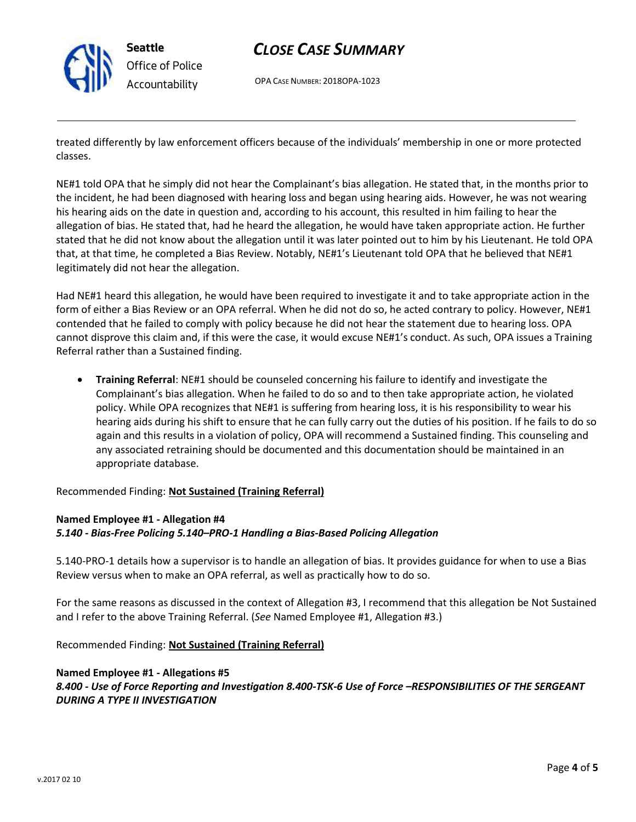

**Seattle** *Office of Police Accountability*

# *CLOSE CASE SUMMARY*

OPA CASE NUMBER: 2018OPA-1023

treated differently by law enforcement officers because of the individuals' membership in one or more protected classes.

NE#1 told OPA that he simply did not hear the Complainant's bias allegation. He stated that, in the months prior to the incident, he had been diagnosed with hearing loss and began using hearing aids. However, he was not wearing his hearing aids on the date in question and, according to his account, this resulted in him failing to hear the allegation of bias. He stated that, had he heard the allegation, he would have taken appropriate action. He further stated that he did not know about the allegation until it was later pointed out to him by his Lieutenant. He told OPA that, at that time, he completed a Bias Review. Notably, NE#1's Lieutenant told OPA that he believed that NE#1 legitimately did not hear the allegation.

Had NE#1 heard this allegation, he would have been required to investigate it and to take appropriate action in the form of either a Bias Review or an OPA referral. When he did not do so, he acted contrary to policy. However, NE#1 contended that he failed to comply with policy because he did not hear the statement due to hearing loss. OPA cannot disprove this claim and, if this were the case, it would excuse NE#1's conduct. As such, OPA issues a Training Referral rather than a Sustained finding.

• **Training Referral**: NE#1 should be counseled concerning his failure to identify and investigate the Complainant's bias allegation. When he failed to do so and to then take appropriate action, he violated policy. While OPA recognizes that NE#1 is suffering from hearing loss, it is his responsibility to wear his hearing aids during his shift to ensure that he can fully carry out the duties of his position. If he fails to do so again and this results in a violation of policy, OPA will recommend a Sustained finding. This counseling and any associated retraining should be documented and this documentation should be maintained in an appropriate database.

Recommended Finding: **Not Sustained (Training Referral)**

### **Named Employee #1 - Allegation #4** *5.140 - Bias-Free Policing 5.140–PRO-1 Handling a Bias-Based Policing Allegation*

5.140-PRO-1 details how a supervisor is to handle an allegation of bias. It provides guidance for when to use a Bias Review versus when to make an OPA referral, as well as practically how to do so.

For the same reasons as discussed in the context of Allegation #3, I recommend that this allegation be Not Sustained and I refer to the above Training Referral. (*See* Named Employee #1, Allegation #3.)

Recommended Finding: **Not Sustained (Training Referral)**

### **Named Employee #1 - Allegations #5**

### *8.400 - Use of Force Reporting and Investigation 8.400-TSK-6 Use of Force –RESPONSIBILITIES OF THE SERGEANT DURING A TYPE II INVESTIGATION*